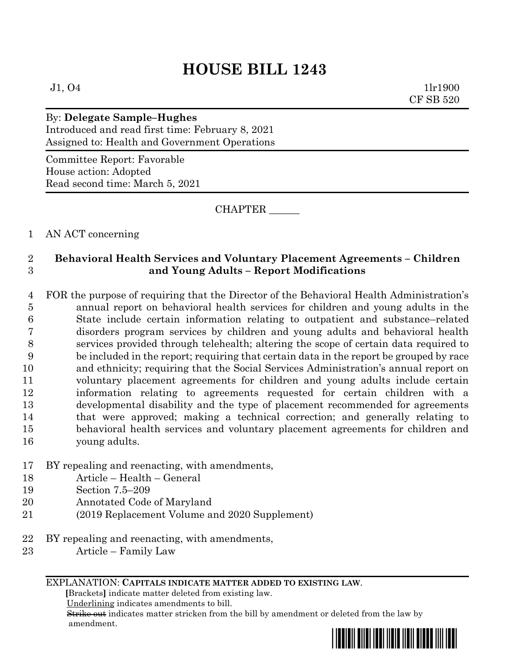$J1, O4$  1lr1900 CF SB 520

# By: **Delegate Sample–Hughes**

Introduced and read first time: February 8, 2021 Assigned to: Health and Government Operations

Committee Report: Favorable House action: Adopted Read second time: March 5, 2021

CHAPTER \_\_\_\_\_\_

# 1 AN ACT concerning

# 2 **Behavioral Health Services and Voluntary Placement Agreements – Children**  3 **and Young Adults – Report Modifications**

 FOR the purpose of requiring that the Director of the Behavioral Health Administration's annual report on behavioral health services for children and young adults in the State include certain information relating to outpatient and substance–related disorders program services by children and young adults and behavioral health services provided through telehealth; altering the scope of certain data required to be included in the report; requiring that certain data in the report be grouped by race and ethnicity; requiring that the Social Services Administration's annual report on voluntary placement agreements for children and young adults include certain information relating to agreements requested for certain children with a developmental disability and the type of placement recommended for agreements that were approved; making a technical correction; and generally relating to behavioral health services and voluntary placement agreements for children and young adults.

# 17 BY repealing and reenacting, with amendments,

18 Article – Health – General

- 19 Section 7.5–209
- 20 Annotated Code of Maryland
- 21 (2019 Replacement Volume and 2020 Supplement)
- 22 BY repealing and reenacting, with amendments,
- 23 Article Family Law

### EXPLANATION: **CAPITALS INDICATE MATTER ADDED TO EXISTING LAW**.

 **[**Brackets**]** indicate matter deleted from existing law.

Underlining indicates amendments to bill.

 Strike out indicates matter stricken from the bill by amendment or deleted from the law by amendment.

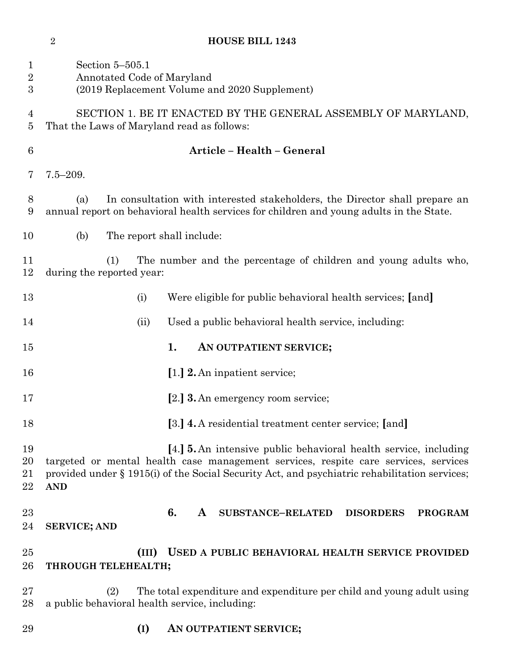| $\mathbf 1$<br>$\boldsymbol{2}$<br>$\boldsymbol{3}$ | Section 5-505.1<br>Annotated Code of Maryland                                                               | (2019 Replacement Volume and 2020 Supplement)                                                                                                                                                                                                                   |  |  |  |
|-----------------------------------------------------|-------------------------------------------------------------------------------------------------------------|-----------------------------------------------------------------------------------------------------------------------------------------------------------------------------------------------------------------------------------------------------------------|--|--|--|
| 4<br>5                                              | SECTION 1. BE IT ENACTED BY THE GENERAL ASSEMBLY OF MARYLAND,<br>That the Laws of Maryland read as follows: |                                                                                                                                                                                                                                                                 |  |  |  |
| 6                                                   |                                                                                                             | Article - Health - General                                                                                                                                                                                                                                      |  |  |  |
| 7                                                   | $7.5 - 209.$                                                                                                |                                                                                                                                                                                                                                                                 |  |  |  |
| 8<br>9                                              | (a)                                                                                                         | In consultation with interested stakeholders, the Director shall prepare an<br>annual report on behavioral health services for children and young adults in the State.                                                                                          |  |  |  |
| 10                                                  | (b)                                                                                                         | The report shall include:                                                                                                                                                                                                                                       |  |  |  |
| 11<br>12                                            | (1)<br>during the reported year:                                                                            | The number and the percentage of children and young adults who,                                                                                                                                                                                                 |  |  |  |
| 13                                                  | (i)                                                                                                         | Were eligible for public behavioral health services; [and]                                                                                                                                                                                                      |  |  |  |
| 14                                                  | (ii)                                                                                                        | Used a public behavioral health service, including:                                                                                                                                                                                                             |  |  |  |
| 15                                                  |                                                                                                             | 1.<br>AN OUTPATIENT SERVICE;                                                                                                                                                                                                                                    |  |  |  |
| 16                                                  |                                                                                                             | [1.] 2. An inpatient service;                                                                                                                                                                                                                                   |  |  |  |
| 17                                                  |                                                                                                             | [2.] <b>3.</b> An emergency room service;                                                                                                                                                                                                                       |  |  |  |
| 18                                                  |                                                                                                             | [3.] 4. A residential treatment center service; [and]                                                                                                                                                                                                           |  |  |  |
| 19<br>20<br>21<br>22                                | <b>AND</b>                                                                                                  | [4.] <b>5.</b> An intensive public behavioral health service, including<br>targeted or mental health case management services, respite care services, services<br>provided under § 1915(i) of the Social Security Act, and psychiatric rehabilitation services; |  |  |  |
| 23<br>24                                            | <b>SERVICE; AND</b>                                                                                         | 6.<br>A<br><b>SUBSTANCE-RELATED</b><br><b>DISORDERS</b><br><b>PROGRAM</b>                                                                                                                                                                                       |  |  |  |
| $25\,$<br>26                                        | (III)<br>THROUGH TELEHEALTH;                                                                                | USED A PUBLIC BEHAVIORAL HEALTH SERVICE PROVIDED                                                                                                                                                                                                                |  |  |  |
| $27\,$<br>28                                        | (2)<br>a public behavioral health service, including:                                                       | The total expenditure and expenditure per child and young adult using                                                                                                                                                                                           |  |  |  |
| 29                                                  | (I)                                                                                                         | AN OUTPATIENT SERVICE;                                                                                                                                                                                                                                          |  |  |  |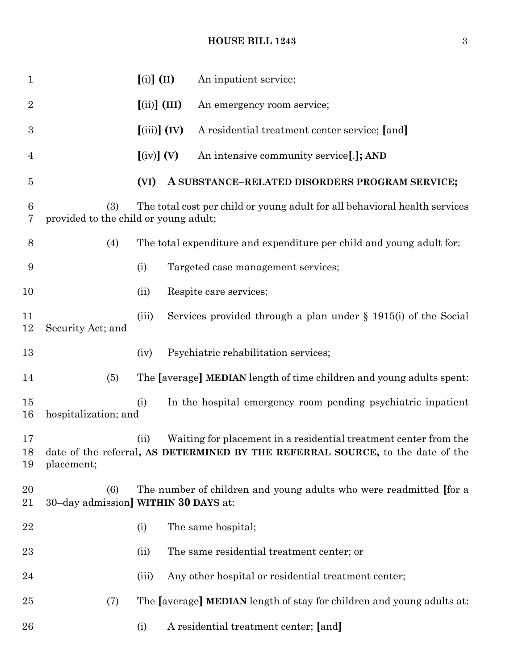# **HOUSE BILL 1243** 3

| $\mathbf{1}$         |                                                                                                                            | $\left[ \text{(i)} \right] \left( \text{II} \right)$ |  | An inpatient service;                                                                                                                                 |
|----------------------|----------------------------------------------------------------------------------------------------------------------------|------------------------------------------------------|--|-------------------------------------------------------------------------------------------------------------------------------------------------------|
| $\overline{2}$       |                                                                                                                            | $(iii)$ (III)                                        |  | An emergency room service;                                                                                                                            |
| $\boldsymbol{3}$     |                                                                                                                            | $(iii)$ $(V)$                                        |  | A residential treatment center service; [and]                                                                                                         |
| 4                    |                                                                                                                            | $\left[\text{(iv)}\right]$ (V)                       |  | An intensive community service[.]; AND                                                                                                                |
| 5                    |                                                                                                                            | (VI)                                                 |  | A SUBSTANCE-RELATED DISORDERS PROGRAM SERVICE;                                                                                                        |
| $6\phantom{.}6$<br>7 | (3)<br>The total cost per child or young adult for all behavioral health services<br>provided to the child or young adult; |                                                      |  |                                                                                                                                                       |
| 8                    | (4)                                                                                                                        |                                                      |  | The total expenditure and expenditure per child and young adult for:                                                                                  |
| 9                    |                                                                                                                            | (i)                                                  |  | Targeted case management services;                                                                                                                    |
| 10                   |                                                                                                                            | (ii)                                                 |  | Respite care services;                                                                                                                                |
| 11<br>12             | Security Act; and                                                                                                          | (iii)                                                |  | Services provided through a plan under $\S$ 1915(i) of the Social                                                                                     |
| 13                   |                                                                                                                            | (iv)                                                 |  | Psychiatric rehabilitation services;                                                                                                                  |
| 14                   | (5)                                                                                                                        |                                                      |  | The [average] MEDIAN length of time children and young adults spent:                                                                                  |
| 15<br>16             | hospitalization; and                                                                                                       | (i)                                                  |  | In the hospital emergency room pending psychiatric inpatient                                                                                          |
| 17<br>19             | placement;                                                                                                                 | (ii)                                                 |  | Waiting for placement in a residential treatment center from the<br>18 date of the referral, AS DETERMINED BY THE REFERRAL SOURCE, to the date of the |
| 20<br>21             | (6)<br>30–day admission] WITHIN 30 DAYS at:                                                                                |                                                      |  | The number of children and young adults who were readmitted for a                                                                                     |
| 22                   |                                                                                                                            | (i)                                                  |  | The same hospital;                                                                                                                                    |
| 23                   |                                                                                                                            | (ii)                                                 |  | The same residential treatment center; or                                                                                                             |
| 24                   |                                                                                                                            | (iii)                                                |  | Any other hospital or residential treatment center;                                                                                                   |
| 25                   | (7)                                                                                                                        |                                                      |  | The [average] MEDIAN length of stay for children and young adults at:                                                                                 |
| 26                   |                                                                                                                            | (i)                                                  |  | A residential treatment center; [and]                                                                                                                 |
|                      |                                                                                                                            |                                                      |  |                                                                                                                                                       |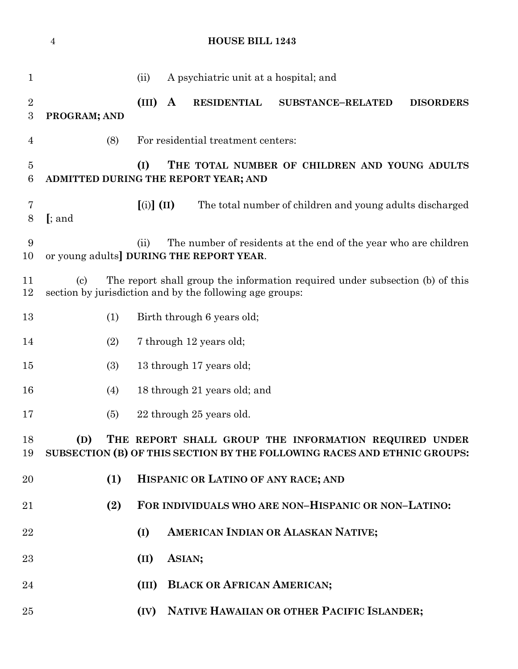| $\mathbf{1}$        |                                                                                                                                          | (ii)                             |              | A psychiatric unit at a hospital; and                    |                                                                              |                  |  |
|---------------------|------------------------------------------------------------------------------------------------------------------------------------------|----------------------------------|--------------|----------------------------------------------------------|------------------------------------------------------------------------------|------------------|--|
| $\overline{2}$<br>3 | PROGRAM; AND                                                                                                                             | (III)                            | $\mathbf{A}$ | <b>RESIDENTIAL</b>                                       | <b>SUBSTANCE-RELATED</b>                                                     | <b>DISORDERS</b> |  |
| 4                   | (8)                                                                                                                                      |                                  |              | For residential treatment centers:                       |                                                                              |                  |  |
| $\overline{5}$<br>6 | (I)<br>THE TOTAL NUMBER OF CHILDREN AND YOUNG ADULTS<br>ADMITTED DURING THE REPORT YEAR; AND                                             |                                  |              |                                                          |                                                                              |                  |  |
| 7<br>$8\,$          | $[$ ; and                                                                                                                                | $\left[ \text{(i)} \right]$ (II) |              |                                                          | The total number of children and young adults discharged                     |                  |  |
| 9<br>10             | or young adults] DURING THE REPORT YEAR.                                                                                                 | (ii)                             |              |                                                          | The number of residents at the end of the year who are children              |                  |  |
| 11<br>12            | $\left( \text{c}\right)$                                                                                                                 |                                  |              | section by jurisdiction and by the following age groups: | The report shall group the information required under subsection (b) of this |                  |  |
| 13                  | (1)                                                                                                                                      |                                  |              | Birth through 6 years old;                               |                                                                              |                  |  |
| 14                  | (2)                                                                                                                                      |                                  |              | 7 through 12 years old;                                  |                                                                              |                  |  |
| 15                  | (3)                                                                                                                                      |                                  |              | 13 through 17 years old;                                 |                                                                              |                  |  |
| 16                  | (4)                                                                                                                                      |                                  |              | 18 through 21 years old; and                             |                                                                              |                  |  |
| 17                  | (5)                                                                                                                                      |                                  |              | 22 through 25 years old.                                 |                                                                              |                  |  |
| 18<br>19            | THE REPORT SHALL GROUP THE INFORMATION REQUIRED UNDER<br>(D)<br>SUBSECTION (B) OF THIS SECTION BY THE FOLLOWING RACES AND ETHNIC GROUPS: |                                  |              |                                                          |                                                                              |                  |  |
| 20                  | (1)                                                                                                                                      |                                  |              | HISPANIC OR LATINO OF ANY RACE; AND                      |                                                                              |                  |  |
| 21                  | (2)                                                                                                                                      |                                  |              |                                                          | FOR INDIVIDUALS WHO ARE NON-HISPANIC OR NON-LATINO:                          |                  |  |
| 22                  |                                                                                                                                          | (I)                              |              |                                                          | AMERICAN INDIAN OR ALASKAN NATIVE;                                           |                  |  |
| 23                  |                                                                                                                                          | (II)                             |              | ASIAN;                                                   |                                                                              |                  |  |
| 24                  |                                                                                                                                          | (III)                            |              | <b>BLACK OR AFRICAN AMERICAN;</b>                        |                                                                              |                  |  |
| 25                  |                                                                                                                                          | (IV)                             |              |                                                          | NATIVE HAWAIIAN OR OTHER PACIFIC ISLANDER;                                   |                  |  |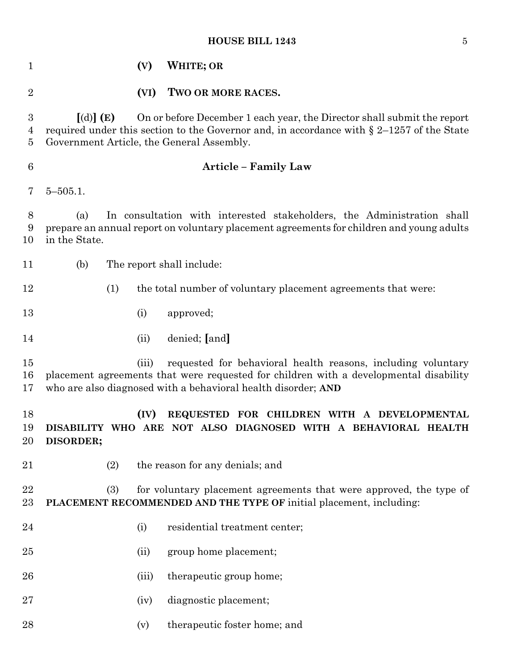# **HOUSE BILL 1243** 5

| 1                          |                          | (V)   | <b>WHITE; OR</b>                                                                                                                                                                                                       |
|----------------------------|--------------------------|-------|------------------------------------------------------------------------------------------------------------------------------------------------------------------------------------------------------------------------|
| $\overline{2}$             |                          | (VI)  | TWO OR MORE RACES.                                                                                                                                                                                                     |
| $\boldsymbol{3}$<br>4<br>5 | $\lbrack d) \rbrack$ (E) |       | On or before December 1 each year, the Director shall submit the report<br>required under this section to the Governor and, in accordance with $\S 2-1257$ of the State<br>Government Article, the General Assembly.   |
| $6\phantom{.}6$            |                          |       | <b>Article - Family Law</b>                                                                                                                                                                                            |
| 7                          | $5 - 505.1$ .            |       |                                                                                                                                                                                                                        |
| 8<br>9<br>10               | (a)<br>in the State.     |       | In consultation with interested stakeholders, the Administration shall<br>prepare an annual report on voluntary placement agreements for children and young adults                                                     |
| 11                         | (b)                      |       | The report shall include:                                                                                                                                                                                              |
| 12                         | (1)                      |       | the total number of voluntary placement agreements that were:                                                                                                                                                          |
| 13                         |                          | (i)   | approved;                                                                                                                                                                                                              |
| 14                         |                          | (ii)  | denied; [and]                                                                                                                                                                                                          |
| 15<br>16<br>17             |                          | (iii) | requested for behavioral health reasons, including voluntary<br>placement agreements that were requested for children with a developmental disability<br>who are also diagnosed with a behavioral health disorder; AND |
| 18<br>19<br>20             | DISORDER;                | (IV)  | REQUESTED FOR CHILDREN WITH A DEVELOPMENTAL<br>DISABILITY WHO ARE NOT ALSO DIAGNOSED WITH A BEHAVIORAL HEALTH                                                                                                          |
| 21                         | (2)                      |       | the reason for any denials; and                                                                                                                                                                                        |
| 22<br>23                   | (3)                      |       | for voluntary placement agreements that were approved, the type of<br>PLACEMENT RECOMMENDED AND THE TYPE OF initial placement, including:                                                                              |
| 24                         |                          | (i)   | residential treatment center;                                                                                                                                                                                          |
| 25                         |                          | (ii)  | group home placement;                                                                                                                                                                                                  |
| 26                         |                          | (iii) | therapeutic group home;                                                                                                                                                                                                |
| 27                         |                          | (iv)  | diagnostic placement;                                                                                                                                                                                                  |
| 28                         |                          | (v)   | therapeutic foster home; and                                                                                                                                                                                           |